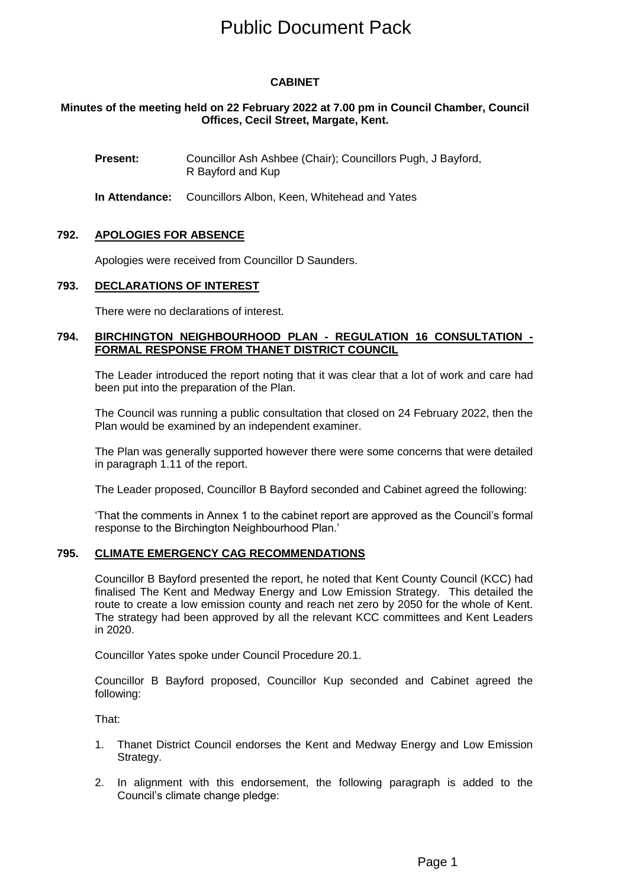# Public Document Pack

## **CABINET**

### **Minutes of the meeting held on 22 February 2022 at 7.00 pm in Council Chamber, Council Offices, Cecil Street, Margate, Kent.**

**Present:** Councillor Ash Ashbee (Chair); Councillors Pugh, J Bayford, R Bayford and Kup

**In Attendance:** Councillors Albon, Keen, Whitehead and Yates

#### **792. APOLOGIES FOR ABSENCE**

Apologies were received from Councillor D Saunders.

#### **793. DECLARATIONS OF INTEREST**

There were no declarations of interest.

#### **794. BIRCHINGTON NEIGHBOURHOOD PLAN - REGULATION 16 CONSULTATION - FORMAL RESPONSE FROM THANET DISTRICT COUNCIL**

The Leader introduced the report noting that it was clear that a lot of work and care had been put into the preparation of the Plan.

The Council was running a public consultation that closed on 24 February 2022, then the Plan would be examined by an independent examiner.

The Plan was generally supported however there were some concerns that were detailed in paragraph 1.11 of the report.

The Leader proposed, Councillor B Bayford seconded and Cabinet agreed the following:

'That the comments in Annex 1 to the cabinet report are approved as the Council's formal response to the Birchington Neighbourhood Plan.'

#### **795. CLIMATE EMERGENCY CAG RECOMMENDATIONS**

Councillor B Bayford presented the report, he noted that Kent County Council (KCC) had finalised The Kent and Medway Energy and Low Emission Strategy. This detailed the route to create a low emission county and reach net zero by 2050 for the whole of Kent. The strategy had been approved by all the relevant KCC committees and Kent Leaders in 2020.

Councillor Yates spoke under Council Procedure 20.1.

Councillor B Bayford proposed, Councillor Kup seconded and Cabinet agreed the following:

That:

- 1. Thanet District Council endorses the Kent and Medway Energy and Low Emission Strategy.
- 2. In alignment with this endorsement, the following paragraph is added to the Council's climate change pledge: